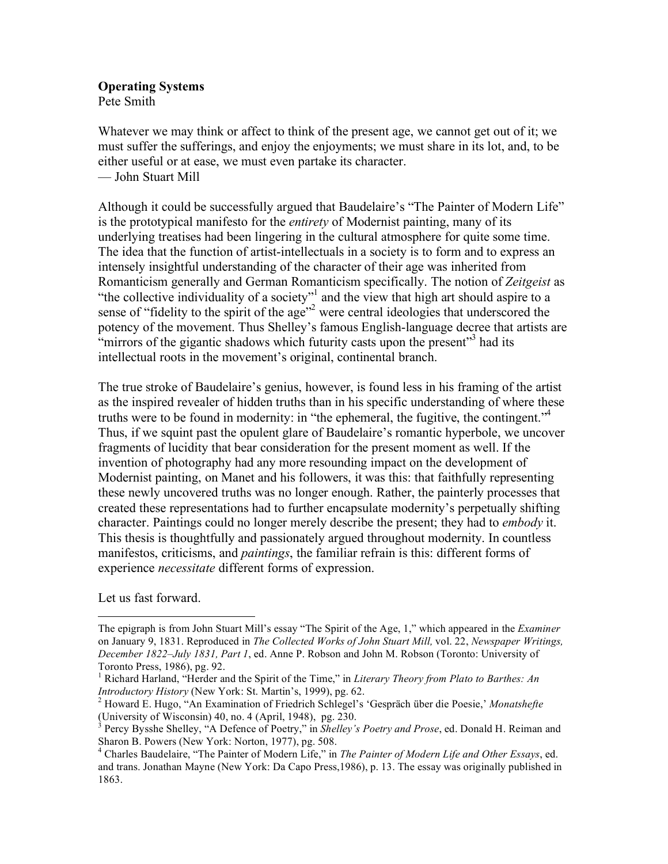**Operating Systems** Pete Smith

Whatever we may think or affect to think of the present age, we cannot get out of it; we must suffer the sufferings, and enjoy the enjoyments; we must share in its lot, and, to be either useful or at ease, we must even partake its character. — John Stuart Mill

Although it could be successfully argued that Baudelaire's "The Painter of Modern Life" is the prototypical manifesto for the *entirety* of Modernist painting, many of its underlying treatises had been lingering in the cultural atmosphere for quite some time. The idea that the function of artist-intellectuals in a society is to form and to express an intensely insightful understanding of the character of their age was inherited from Romanticism generally and German Romanticism specifically. The notion of *Zeitgeist* as "the collective individuality of a society"<sup>1</sup> and the view that high art should aspire to a sense of "fidelity to the spirit of the age"<sup>2</sup> were central ideologies that underscored the potency of the movement. Thus Shelley's famous English-language decree that artists are "mirrors of the gigantic shadows which futurity casts upon the present"<sup>3</sup> had its intellectual roots in the movement's original, continental branch.

The true stroke of Baudelaire's genius, however, is found less in his framing of the artist as the inspired revealer of hidden truths than in his specific understanding of where these truths were to be found in modernity: in "the ephemeral, the fugitive, the contingent."<sup>4</sup> Thus, if we squint past the opulent glare of Baudelaire's romantic hyperbole, we uncover fragments of lucidity that bear consideration for the present moment as well. If the invention of photography had any more resounding impact on the development of Modernist painting, on Manet and his followers, it was this: that faithfully representing these newly uncovered truths was no longer enough. Rather, the painterly processes that created these representations had to further encapsulate modernity's perpetually shifting character. Paintings could no longer merely describe the present; they had to *embody* it. This thesis is thoughtfully and passionately argued throughout modernity. In countless manifestos, criticisms, and *paintings*, the familiar refrain is this: different forms of experience *necessitate* different forms of expression.

Let us fast forward.

The epigraph is from John Stuart Mill's essay "The Spirit of the Age, 1," which appeared in the *Examiner* on January 9, 1831. Reproduced in *The Collected Works of John Stuart Mill,* vol. 22, *Newspaper Writings, December 1822–July 1831, Part 1*, ed. Anne P. Robson and John M. Robson (Toronto: University of Toronto Press, 1986), pg. 92.

<sup>&</sup>lt;sup>1</sup> Richard Harland, "Herder and the Spirit of the Time," in *Literary Theory from Plato to Barthes: An Introductory History* (New York: St. Martin's, 1999), pg. 62.<br><sup>2</sup> Howard E. Hugo, "An Examination of Friedrich Schlegel's 'Gespräch über die Poesie,' *Monatshefte* 

<sup>(</sup>University of Wisconsin)  $40$ , no.  $4$  (April, 1948), pg. 230.

<sup>&</sup>lt;sup>3</sup> Percy Bysshe Shelley, "A Defence of Poetry," in *Shelley's Poetry and Prose*, ed. Donald H. Reiman and Sharon B. Powers (New York: Norton, 1977), pg. 508.<br><sup>4</sup> Charles Baudelaire, "The Painter of Modern Life," in *The Painter of Modern Life and Other Essays*, ed.

and trans. Jonathan Mayne (New York: Da Capo Press,1986), p. 13. The essay was originally published in 1863.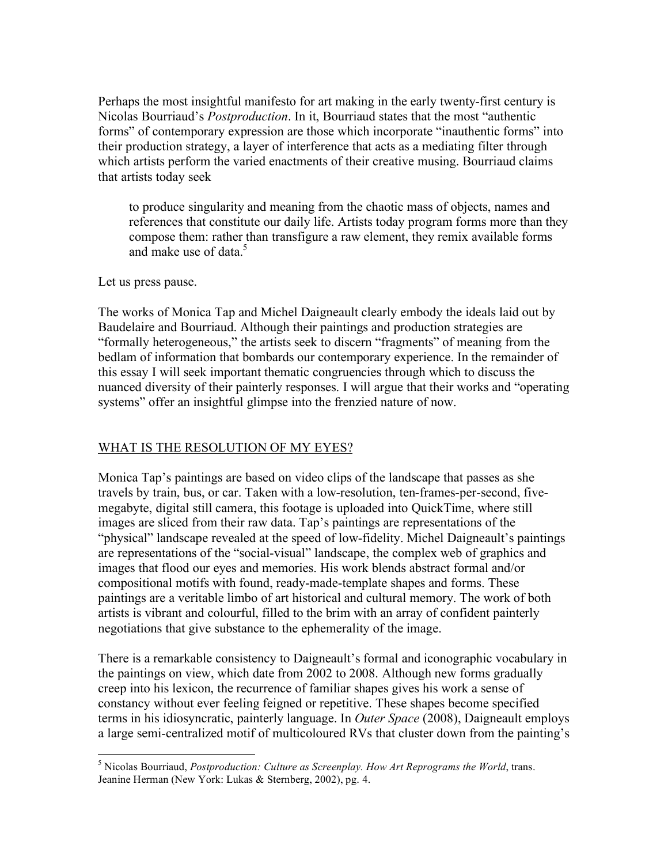Perhaps the most insightful manifesto for art making in the early twenty-first century is Nicolas Bourriaud's *Postproduction*. In it, Bourriaud states that the most "authentic forms" of contemporary expression are those which incorporate "inauthentic forms" into their production strategy, a layer of interference that acts as a mediating filter through which artists perform the varied enactments of their creative musing. Bourriaud claims that artists today seek

to produce singularity and meaning from the chaotic mass of objects, names and references that constitute our daily life. Artists today program forms more than they compose them: rather than transfigure a raw element, they remix available forms and make use of data  $5$ 

Let us press pause.

The works of Monica Tap and Michel Daigneault clearly embody the ideals laid out by Baudelaire and Bourriaud. Although their paintings and production strategies are "formally heterogeneous," the artists seek to discern "fragments" of meaning from the bedlam of information that bombards our contemporary experience. In the remainder of this essay I will seek important thematic congruencies through which to discuss the nuanced diversity of their painterly responses. I will argue that their works and "operating systems" offer an insightful glimpse into the frenzied nature of now.

## WHAT IS THE RESOLUTION OF MY EYES?

Monica Tap's paintings are based on video clips of the landscape that passes as she travels by train, bus, or car. Taken with a low-resolution, ten-frames-per-second, fivemegabyte, digital still camera, this footage is uploaded into QuickTime, where still images are sliced from their raw data. Tap's paintings are representations of the "physical" landscape revealed at the speed of low-fidelity. Michel Daigneault's paintings are representations of the "social-visual" landscape, the complex web of graphics and images that flood our eyes and memories. His work blends abstract formal and/or compositional motifs with found, ready-made-template shapes and forms. These paintings are a veritable limbo of art historical and cultural memory. The work of both artists is vibrant and colourful, filled to the brim with an array of confident painterly negotiations that give substance to the ephemerality of the image.

There is a remarkable consistency to Daigneault's formal and iconographic vocabulary in the paintings on view, which date from 2002 to 2008. Although new forms gradually creep into his lexicon, the recurrence of familiar shapes gives his work a sense of constancy without ever feeling feigned or repetitive. These shapes become specified terms in his idiosyncratic, painterly language. In *Outer Space* (2008), Daigneault employs a large semi-centralized motif of multicoloured RVs that cluster down from the painting's

 $\frac{1}{5}$ <sup>5</sup> Nicolas Bourriaud, *Postproduction: Culture as Screenplay. How Art Reprograms the World, trans.* Jeanine Herman (New York: Lukas & Sternberg, 2002), pg. 4.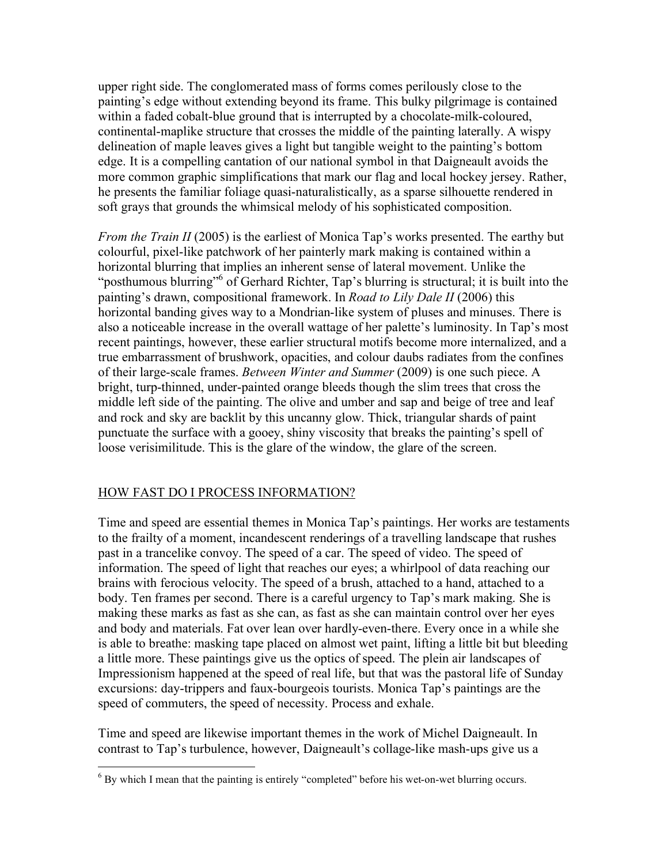upper right side. The conglomerated mass of forms comes perilously close to the painting's edge without extending beyond its frame. This bulky pilgrimage is contained within a faded cobalt-blue ground that is interrupted by a chocolate-milk-coloured, continental-maplike structure that crosses the middle of the painting laterally. A wispy delineation of maple leaves gives a light but tangible weight to the painting's bottom edge. It is a compelling cantation of our national symbol in that Daigneault avoids the more common graphic simplifications that mark our flag and local hockey jersey. Rather, he presents the familiar foliage quasi-naturalistically, as a sparse silhouette rendered in soft grays that grounds the whimsical melody of his sophisticated composition.

*From the Train II* (2005) is the earliest of Monica Tap's works presented. The earthy but colourful, pixel-like patchwork of her painterly mark making is contained within a horizontal blurring that implies an inherent sense of lateral movement. Unlike the "posthumous blurring"<sup>6</sup> of Gerhard Richter, Tap's blurring is structural; it is built into the painting's drawn, compositional framework. In *Road to Lily Dale II* (2006) this horizontal banding gives way to a Mondrian-like system of pluses and minuses. There is also a noticeable increase in the overall wattage of her palette's luminosity. In Tap's most recent paintings, however, these earlier structural motifs become more internalized, and a true embarrassment of brushwork, opacities, and colour daubs radiates from the confines of their large-scale frames. *Between Winter and Summer* (2009) is one such piece. A bright, turp-thinned, under-painted orange bleeds though the slim trees that cross the middle left side of the painting. The olive and umber and sap and beige of tree and leaf and rock and sky are backlit by this uncanny glow. Thick, triangular shards of paint punctuate the surface with a gooey, shiny viscosity that breaks the painting's spell of loose verisimilitude. This is the glare of the window, the glare of the screen.

## HOW FAST DO I PROCESS INFORMATION?

Time and speed are essential themes in Monica Tap's paintings. Her works are testaments to the frailty of a moment, incandescent renderings of a travelling landscape that rushes past in a trancelike convoy. The speed of a car. The speed of video. The speed of information. The speed of light that reaches our eyes; a whirlpool of data reaching our brains with ferocious velocity. The speed of a brush, attached to a hand, attached to a body. Ten frames per second. There is a careful urgency to Tap's mark making. She is making these marks as fast as she can, as fast as she can maintain control over her eyes and body and materials. Fat over lean over hardly-even-there. Every once in a while she is able to breathe: masking tape placed on almost wet paint, lifting a little bit but bleeding a little more. These paintings give us the optics of speed. The plein air landscapes of Impressionism happened at the speed of real life, but that was the pastoral life of Sunday excursions: day-trippers and faux-bourgeois tourists. Monica Tap's paintings are the speed of commuters, the speed of necessity. Process and exhale.

Time and speed are likewise important themes in the work of Michel Daigneault. In contrast to Tap's turbulence, however, Daigneault's collage-like mash-ups give us a

<sup>&</sup>lt;sup>6</sup> By which I mean that the painting is entirely "completed" before his wet-on-wet blurring occurs.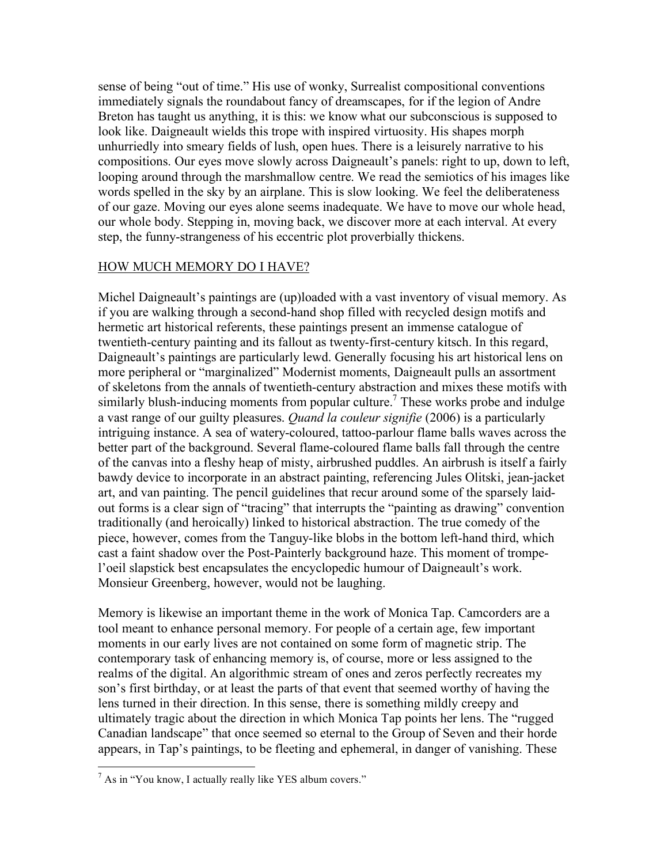sense of being "out of time." His use of wonky, Surrealist compositional conventions immediately signals the roundabout fancy of dreamscapes, for if the legion of Andre Breton has taught us anything, it is this: we know what our subconscious is supposed to look like. Daigneault wields this trope with inspired virtuosity. His shapes morph unhurriedly into smeary fields of lush, open hues. There is a leisurely narrative to his compositions. Our eyes move slowly across Daigneault's panels: right to up, down to left, looping around through the marshmallow centre. We read the semiotics of his images like words spelled in the sky by an airplane. This is slow looking. We feel the deliberateness of our gaze. Moving our eyes alone seems inadequate. We have to move our whole head, our whole body. Stepping in, moving back, we discover more at each interval. At every step, the funny-strangeness of his eccentric plot proverbially thickens.

## HOW MUCH MEMORY DO I HAVE?

Michel Daigneault's paintings are (up)loaded with a vast inventory of visual memory. As if you are walking through a second-hand shop filled with recycled design motifs and hermetic art historical referents, these paintings present an immense catalogue of twentieth-century painting and its fallout as twenty-first-century kitsch. In this regard, Daigneault's paintings are particularly lewd. Generally focusing his art historical lens on more peripheral or "marginalized" Modernist moments, Daigneault pulls an assortment of skeletons from the annals of twentieth-century abstraction and mixes these motifs with similarly blush-inducing moments from popular culture.<sup>7</sup> These works probe and indulge a vast range of our guilty pleasures. *Quand la couleur signifie* (2006) is a particularly intriguing instance. A sea of watery-coloured, tattoo-parlour flame balls waves across the better part of the background. Several flame-coloured flame balls fall through the centre of the canvas into a fleshy heap of misty, airbrushed puddles. An airbrush is itself a fairly bawdy device to incorporate in an abstract painting, referencing Jules Olitski, jean-jacket art, and van painting. The pencil guidelines that recur around some of the sparsely laidout forms is a clear sign of "tracing" that interrupts the "painting as drawing" convention traditionally (and heroically) linked to historical abstraction. The true comedy of the piece, however, comes from the Tanguy-like blobs in the bottom left-hand third, which cast a faint shadow over the Post-Painterly background haze. This moment of trompel'oeil slapstick best encapsulates the encyclopedic humour of Daigneault's work. Monsieur Greenberg, however, would not be laughing.

Memory is likewise an important theme in the work of Monica Tap. Camcorders are a tool meant to enhance personal memory. For people of a certain age, few important moments in our early lives are not contained on some form of magnetic strip. The contemporary task of enhancing memory is, of course, more or less assigned to the realms of the digital. An algorithmic stream of ones and zeros perfectly recreates my son's first birthday, or at least the parts of that event that seemed worthy of having the lens turned in their direction. In this sense, there is something mildly creepy and ultimately tragic about the direction in which Monica Tap points her lens. The "rugged Canadian landscape" that once seemed so eternal to the Group of Seven and their horde appears, in Tap's paintings, to be fleeting and ephemeral, in danger of vanishing. These

 $<sup>7</sup>$  As in "You know, I actually really like YES album covers."</sup>